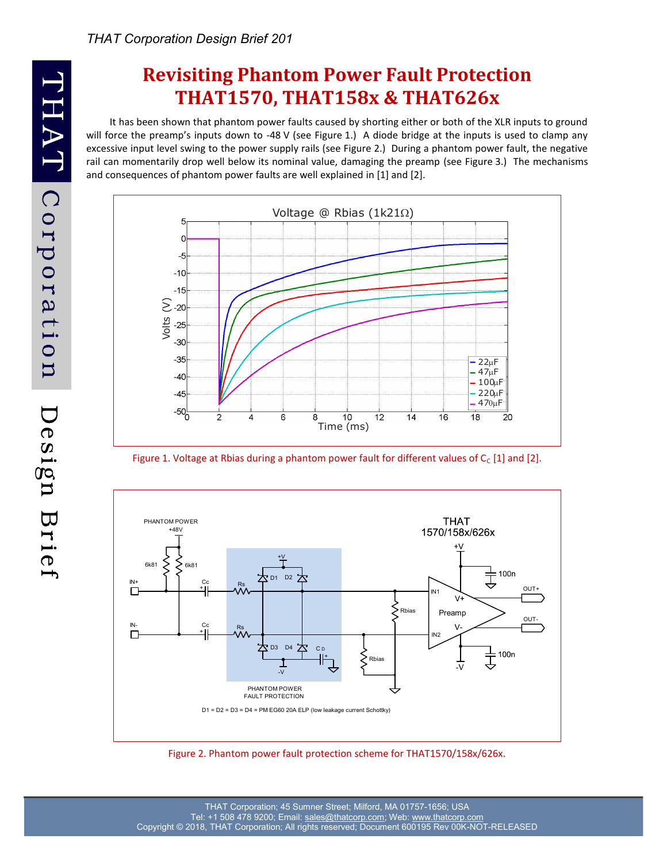# **Revisiting Phantom Power Fault Protection THAT1570, THAT158x & THAT626x**

It has been shown that phantom power faults caused by shorting either or both of the XLR inputs to ground will force the preamp's inputs down to -48 V (see Figure 1.) A diode bridge at the inputs is used to clamp any excessive input level swing to the power supply rails (see Figure 2.) During a phantom power fault, the negative rail can momentarily drop well below its nominal value, damaging the preamp (see Figure 3.) The mechanisms and consequences of phantom power faults are well explained in [1] and [2].



Figure 1. Voltage at Rbias during a phantom power fault for different values of  $C_c$  [1] and [2].



Figure 2. Phantom power fault protection scheme for THAT1570/158x/626x.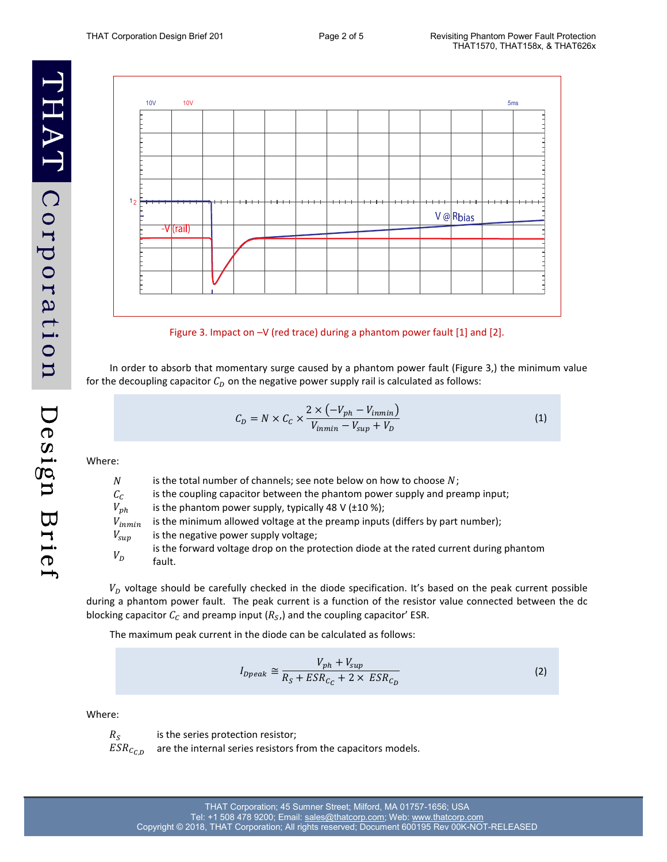THAT Corporation Design Brief



Figure 3. Impact on –V (red trace) during a phantom power fault [1] and [2].

In order to absorb that momentary surge caused by a phantom power fault (Figure 3,) the minimum value for the decoupling capacitor  $C_D$  on the negative power supply rail is calculated as follows:

$$
C_D = N \times C_C \times \frac{2 \times (-V_{ph} - V_{inmin})}{V_{inmin} - V_{sup} + V_D}
$$
\n(1)

Where:

| N           | is the total number of channels; see note below on how to choose $N$ ;                  |
|-------------|-----------------------------------------------------------------------------------------|
| $c_c$       | is the coupling capacitor between the phantom power supply and preamp input;            |
| $V_{ph}$    | is the phantom power supply, typically 48 V ( $\pm$ 10 %);                              |
| $V_{inmin}$ | is the minimum allowed voltage at the preamp inputs (differs by part number);           |
| $V_{sup}$   | is the negative power supply voltage;                                                   |
| $V_D$       | is the forward voltage drop on the protection diode at the rated current during phantom |
|             | fault.                                                                                  |

 $V<sub>p</sub>$  voltage should be carefully checked in the diode specification. It's based on the peak current possible during a phantom power fault. The peak current is a function of the resistor value connected between the dc blocking capacitor  $\mathcal{C}_{\mathcal{C}}$  and preamp input ( $R_{\mathcal{S}}$ ,) and the coupling capacitor' ESR.

The maximum peak current in the diode can be calculated as follows:

$$
I_{Dpeak} \cong \frac{V_{ph} + V_{sup}}{R_S + ESR_{C_C} + 2 \times ESR_{C_D}}
$$
\n(2)

Where:

 $R_{\rm S}$ 

is the series protection resistor;

 $ESR_{CCD}$ are the internal series resistors from the capacitors models.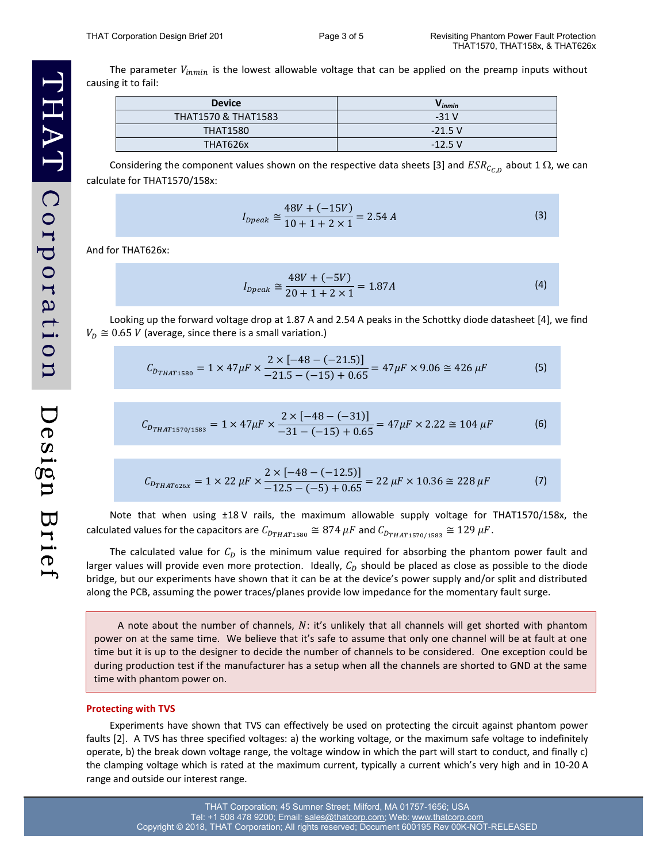The parameter  $V_{inmin}$  is the lowest allowable voltage that can be applied on the preamp inputs without causing it to fail:

| <b>Device</b>                  | $V_{inmin}$ |
|--------------------------------|-------------|
| <b>THAT1570 &amp; THAT1583</b> | $-31V$      |
| <b>THAT1580</b>                | $-21.5V$    |
| THAT626x                       | $-12.5$ V   |

Considering the component values shown on the respective data sheets [3] and  $ESR_{C_{C,D}}$  about 1  $\Omega$ , we can calculate for THAT1570/158x:

$$
I_{\text{Dpeak}} \cong \frac{48V + (-15V)}{10 + 1 + 2 \times 1} = 2.54 A \tag{3}
$$

And for THAT626x:

$$
I_{\text{Dpeak}} \cong \frac{48V + (-5V)}{20 + 1 + 2 \times 1} = 1.87A \tag{4}
$$

Looking up the forward voltage drop at 1.87 A and 2.54 A peaks in the Schottky diode datasheet [4], we find  $V_D \cong 0.65$  V (average, since there is a small variation.)

$$
C_{D_{THAT1580}} = 1 \times 47 \mu F \times \frac{2 \times [-48 - (-21.5)]}{-21.5 - (-15) + 0.65} = 47 \mu F \times 9.06 \approx 426 \mu F
$$
 (5)

$$
C_{D_{THAT1570/1583}} = 1 \times 47 \mu F \times \frac{2 \times [-48 - (-31)]}{-31 - (-15) + 0.65} = 47 \mu F \times 2.22 \approx 104 \mu F
$$
 (6)

$$
C_{D_{THAT626x}} = 1 \times 22 \,\mu\text{F} \times \frac{2 \times [-48 - (-12.5)]}{-12.5 - (-5) + 0.65} = 22 \,\mu\text{F} \times 10.36 \approx 228 \,\mu\text{F}
$$
 (7)

Note that when using ±18 V rails, the maximum allowable supply voltage for THAT1570/158x, the calculated values for the capacitors are  $C_{DTHAT1580} \cong 874 \mu F$  and  $C_{DTHAT1570/1583} \cong 129 \mu F$ .

The calculated value for  $C_D$  is the minimum value required for absorbing the phantom power fault and larger values will provide even more protection. Ideally,  $C<sub>D</sub>$  should be placed as close as possible to the diode bridge, but our experiments have shown that it can be at the device's power supply and/or split and distributed along the PCB, assuming the power traces/planes provide low impedance for the momentary fault surge.

A note about the number of channels,  $N$ : it's unlikely that all channels will get shorted with phantom power on at the same time. We believe that it's safe to assume that only one channel will be at fault at one time but it is up to the designer to decide the number of channels to be considered. One exception could be during production test if the manufacturer has a setup when all the channels are shorted to GND at the same time with phantom power on.

#### **Protecting with TVS**

Experiments have shown that TVS can effectively be used on protecting the circuit against phantom power faults [2]. A TVS has three specified voltages: a) the working voltage, or the maximum safe voltage to indefinitely operate, b) the break down voltage range, the voltage window in which the part will start to conduct, and finally c) the clamping voltage which is rated at the maximum current, typically a current which's very high and in 10-20 A range and outside our interest range.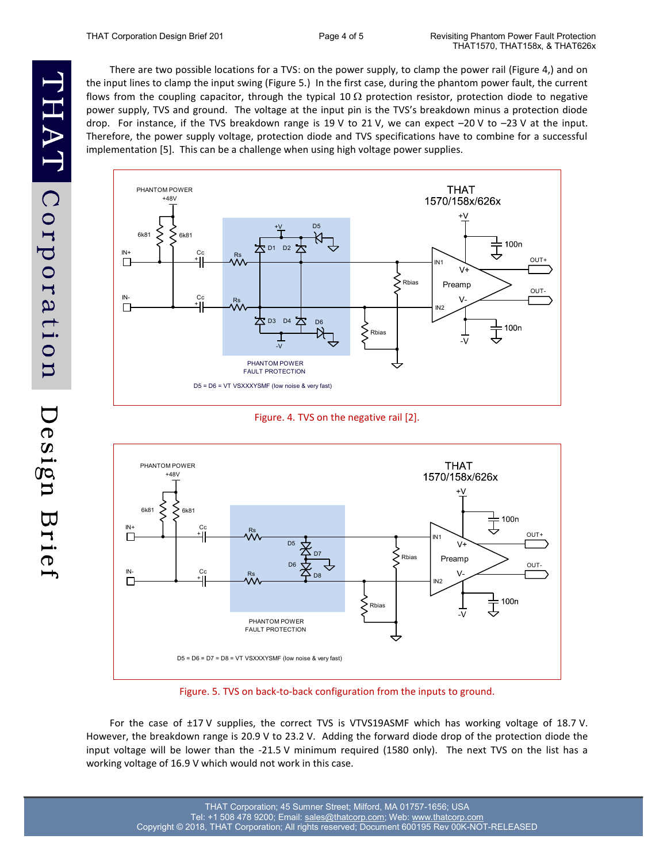There are two possible locations for a TVS: on the power supply, to clamp the power rail (Figure 4,) and on the input lines to clamp the input swing (Figure 5.) In the first case, during the phantom power fault, the current flows from the coupling capacitor, through the typical 10  $\Omega$  protection resistor, protection diode to negative power supply, TVS and ground. The voltage at the input pin is the TVS's breakdown minus a protection diode drop. For instance, if the TVS breakdown range is 19 V to 21 V, we can expect –20 V to –23 V at the input. Therefore, the power supply voltage, protection diode and TVS specifications have to combine for a successful implementation [5]. This can be a challenge when using high voltage power supplies.



Figure. 4. TVS on the negative rail [2].



Figure. 5. TVS on back-to-back configuration from the inputs to ground.

For the case of ±17 V supplies, the correct TVS is VTVS19ASMF which has working voltage of 18.7 V. However, the breakdown range is 20.9 V to 23.2 V. Adding the forward diode drop of the protection diode the input voltage will be lower than the -21.5 V minimum required (1580 only). The next TVS on the list has a working voltage of 16.9 V which would not work in this case.